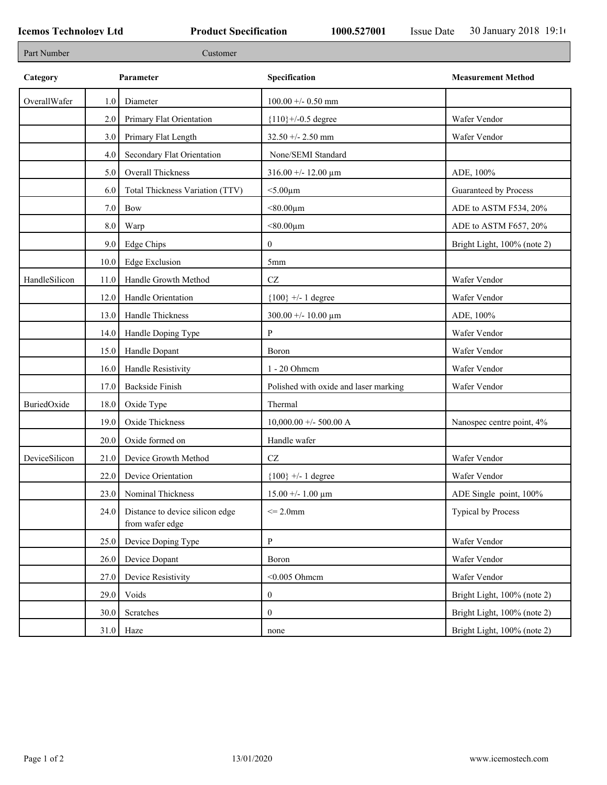| Part Number   |         | Customer                                           |                                        |                             |
|---------------|---------|----------------------------------------------------|----------------------------------------|-----------------------------|
| Category      |         | Parameter                                          | Specification                          | <b>Measurement Method</b>   |
| OverallWafer  | 1.0     | Diameter                                           | $100.00 +/- 0.50$ mm                   |                             |
|               | 2.0     | Primary Flat Orientation                           | ${110}$ +/-0.5 degree                  | Wafer Vendor                |
|               | 3.0     | Primary Flat Length                                | 32.50 +/- 2.50 mm                      | Wafer Vendor                |
|               | 4.0     | Secondary Flat Orientation                         | None/SEMI Standard                     |                             |
|               | 5.0     | Overall Thickness                                  | $316.00 + - 12.00 \mu m$               | ADE, 100%                   |
|               | 6.0     | Total Thickness Variation (TTV)                    | $<$ 5.00 $\mu$ m                       | Guaranteed by Process       |
|               | $7.0\,$ | <b>Bow</b>                                         | $< 80.00 \mu m$                        | ADE to ASTM F534, 20%       |
|               | 8.0     | Warp                                               | $< 80.00 \mu m$                        | ADE to ASTM F657, 20%       |
|               | 9.0     | Edge Chips                                         | $\mathbf{0}$                           | Bright Light, 100% (note 2) |
|               | 10.0    | <b>Edge Exclusion</b>                              | 5mm                                    |                             |
| HandleSilicon | 11.0    | Handle Growth Method                               | $\operatorname{CZ}$                    | Wafer Vendor                |
|               | 12.0    | Handle Orientation                                 | ${100}$ +/- 1 degree                   | Wafer Vendor                |
|               | 13.0    | Handle Thickness                                   | $300.00 + - 10.00 \text{ }\mu\text{m}$ | ADE, 100%                   |
|               | 14.0    | Handle Doping Type                                 | P                                      | Wafer Vendor                |
|               | 15.0    | Handle Dopant                                      | Boron                                  | Wafer Vendor                |
|               | 16.0    | Handle Resistivity                                 | 1 - 20 Ohmem                           | Wafer Vendor                |
|               | 17.0    | <b>Backside Finish</b>                             | Polished with oxide and laser marking  | Wafer Vendor                |
| BuriedOxide   | 18.0    | Oxide Type                                         | Thermal                                |                             |
|               | 19.0    | Oxide Thickness                                    | $10,000.00 +/- 500.00 A$               | Nanospec centre point, 4%   |
|               | 20.0    | Oxide formed on                                    | Handle wafer                           |                             |
| DeviceSilicon | 21.0    | Device Growth Method                               | $\operatorname{CZ}$                    | Wafer Vendor                |
|               | 22.0    | Device Orientation                                 | ${100}$ +/- 1 degree                   | Wafer Vendor                |
|               | 23.0    | Nominal Thickness                                  | $15.00 + - 1.00 \mu m$                 | ADE Single point, 100%      |
|               | 24.0    | Distance to device silicon edge<br>from wafer edge | $\leq$ 2.0mm                           | <b>Typical by Process</b>   |
|               | 25.0    | Device Doping Type                                 | P                                      | Wafer Vendor                |
|               | 26.0    | Device Dopant                                      | Boron                                  | Wafer Vendor                |
|               | 27.0    | Device Resistivity                                 | $<$ 0.005 Ohmem                        | Wafer Vendor                |
|               | 29.0    | Voids                                              | $\boldsymbol{0}$                       | Bright Light, 100% (note 2) |
|               | 30.0    | Scratches                                          | $\boldsymbol{0}$                       | Bright Light, 100% (note 2) |
|               | 31.0    | Haze                                               | none                                   | Bright Light, 100% (note 2) |